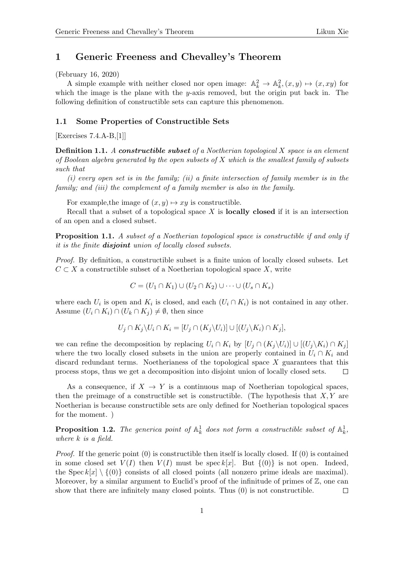## 1 Generic Freeness and Chevalley's Theorem

(February 16, 2020)

A simple example with neither closed nor open image:  $\mathbb{A}_k^2 \to \mathbb{A}_k^2$ ,  $(x, y) \mapsto (x, xy)$  for which the image is the plane with the y-axis removed, but the origin put back in. The following definition of constructible sets can capture this phenomenon.

#### 1.1 Some Properties of Constructible Sets

[Exercises 7.4.A-B,[\[1\]](#page-6-0)]

**Definition 1.1.** A constructible subset of a Noetherian topological X space is an element of Boolean algebra generated by the open subsets of  $X$  which is the smallest family of subsets such that

 $(i)$  every open set is in the family; (ii) a finite intersection of family member is in the family; and (iii) the complement of a family member is also in the family.

For example, the image of  $(x, y) \mapsto xy$  is constructible.

Recall that a subset of a topological space  $X$  is **locally closed** if it is an intersection of an open and a closed subset.

**Proposition 1.1.** A subset of a Noetherian topological space is constructible if and only if it is the finite **disjoint** union of locally closed subsets.

Proof. By definition, a constructible subset is a finite union of locally closed subsets. Let  $C \subset X$  a constructible subset of a Noetherian topological space X, write

$$
C = (U_1 \cap K_1) \cup (U_2 \cap K_2) \cup \cdots \cup (U_s \cap K_s)
$$

where each  $U_i$  is open and  $K_i$  is closed, and each  $(U_i \cap K_i)$  is not contained in any other. Assume  $(U_i \cap K_i) \cap (U_k \cap K_j) \neq \emptyset$ , then since

$$
U_j \cap K_j \backslash U_i \cap K_i = [U_j \cap (K_j \backslash U_i)] \cup [(U_j \backslash K_i) \cap K_j],
$$

we can refine the decomposition by replacing  $U_i \cap K_i$  by  $[U_j \cap (K_j \backslash U_i)] \cup [(U_j \backslash K_i) \cap K_j]$ where the two locally closed subsets in the union are properly contained in  $U_i \cap K_i$  and discard redundant terms. Noetherianess of the topological space  $X$  guarantees that this process stops, thus we get a decomposition into disjoint union of locally closed sets.  $\Box$ 

As a consequence, if  $X \to Y$  is a continuous map of Noetherian topological spaces, then the preimage of a constructible set is constructible. (The hypothesis that  $X, Y$  are Noetherian is because constructible sets are only defined for Noetherian topological spaces for the moment. )

<span id="page-0-0"></span>**Proposition 1.2.** The generica point of  $\mathbb{A}^1_k$  does not form a constructible subset of  $\mathbb{A}^1_k$ , where k is a field.

*Proof.* If the generic point  $(0)$  is constructible then itself is locally closed. If  $(0)$  is contained in some closed set  $V(I)$  then  $V(I)$  must be spec  $k[x]$ . But  $\{(0)\}\$ is not open. Indeed, the Spec  $k[x] \setminus \{(0)\}$  consists of all closed points (all nonzero prime ideals are maximal). Moreover, by a similar argument to Euclid's proof of the infinitude of primes of  $\mathbb{Z}$ , one can show that there are infinitely many closed points. Thus (0) is not constructible.  $\Box$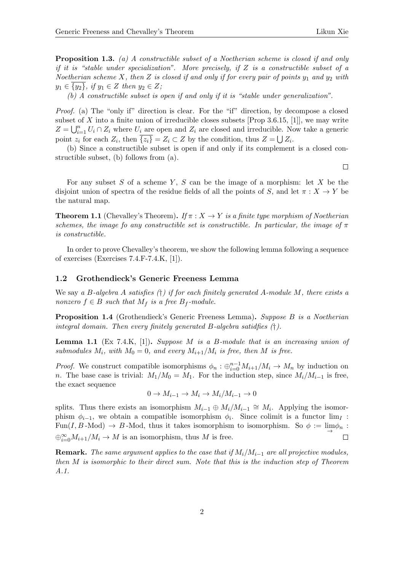**Proposition 1.3.** (a) A constructible subset of a Noetherian scheme is closed if and only if it is "stable under specialization". More precisely, if  $Z$  is a constructible subset of a Noetherian scheme X, then Z is closed if and only if for every pair of points  $y_1$  and  $y_2$  with  $y_1 \in \overline{\{y_2\}}$ , if  $y_1 \in Z$  then  $y_2 \in Z$ ;

(b) A constructible subset is open if and only if it is "stable under generalization".

Proof. (a) The "only if" direction is clear. For the "if" direction, by decompose a closed subset of  $X$  into a finite union of irreducible closes subsets [Prop 3.6.15, [\[1\]](#page-6-0)], we may write  $Z = \bigcup_{i=1}^n U_i \cap Z_i$  where  $U_i$  are open and  $Z_i$  are closed and irreducible. Now take a generic point  $z_i$  for each  $Z_i$ , then  $\{z_i\} = Z_i \subset Z$  by the condition, thus  $Z = \bigcup Z_i$ .

(b) Since a constructible subset is open if and only if its complement is a closed constructible subset, (b) follows from (a).

 $\Box$ 

For any subset  $S$  of a scheme  $Y$ ,  $S$  can be the image of a morphism: let  $X$  be the disjoint union of spectra of the residue fields of all the points of S, and let  $\pi : X \to Y$  be the natural map.

<span id="page-1-2"></span>**Theorem 1.1** (Chevalley's Theorem). If  $\pi$  :  $X \to Y$  is a finite type morphism of Noetherian schemes, the image fo any constructible set is constructible. In particular, the image of  $\pi$ is constructible.

In order to prove Chevalley's theorem, we show the following lemma following a sequence of exercises (Exercises 7.4.F-7.4.K, [\[1\]](#page-6-0)).

### 1.2 Grothendieck's Generic Freeness Lemma

We say a B-algebra A satisfies  $(f)$  if for each finitely generated A-module M, there exists a nonzero  $f \in B$  such that  $M_f$  is a free  $B_f$ -module.

<span id="page-1-0"></span>Proposition 1.4 (Grothendieck's Generic Freeness Lemma). Suppose B is a Noetherian integral domain. Then every finitely generated B-algebra satidfies (†).

<span id="page-1-1"></span>**Lemma 1.1** (Ex 7.4.K, [\[1\]](#page-6-0)). Suppose  $M$  is a  $B$ -module that is an increasing union of submodules  $M_i$ , with  $M_0 = 0$ , and every  $M_{i+1}/M_i$  is free, then M is free.

*Proof.* We construct compatible isomorphisms  $\phi_n : \bigoplus_{i=0}^{n-1} M_{i+1}/M_i \to M_n$  by induction on n. The base case is trivial:  $M_1/M_0 = M_1$ . For the induction step, since  $M_i/M_{i-1}$  is free, the exact sequence

$$
0 \to M_{i-1} \to M_i \to M_i/M_{i-1} \to 0
$$

splits. Thus there exists an isomorphism  $M_{i-1} \oplus M_i/M_{i-1} \cong M_i$ . Applying the isomorphism  $\phi_{i-1}$ , we obtain a compatible isomorphism  $\phi_i$ . Since colimit is a functor lim<sub>I</sub> : Fun(I, B-Mod)  $\rightarrow$  B-Mod, thus it takes isomorphism to isomorphism. So  $\phi := \lim_{\rightarrow} \phi_n$ :  $\bigoplus_{i=0}^{\infty} M_{i+1}/M_i \to M$  is an isomorphism, thus M is free.  $\Box$ 

**Remark.** The same argument applies to the case that if  $M_i/M_{i-1}$  are all projective modules, then M is isomorphic to their direct sum. Note that this is the induction step of Theorem [A.1.](#page-6-1)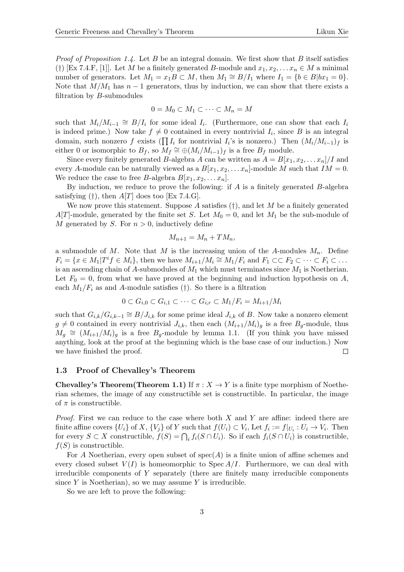$$
0 = M_0 \subset M_1 \subset \cdots \subset M_n = M
$$

such that  $M_i/M_{i-1} \cong B/I_i$  for some ideal  $I_i$ . (Furthermore, one can show that each  $I_i$ is indeed prime.) Now take  $f \neq 0$  contained in every nontrivial  $I_i$ , since B is an integral domain, such nonzero f exists ( $\prod I_i$  for nontrivial  $I_i$ 's is nonzero.) Then  $(M_i/M_{i-1})_f$  is either 0 or isomorphic to  $B_f$ , so  $\widetilde{M}_f \cong \bigoplus (M_i/M_{i-1})_f$  is a free  $B_f$  module.

Since every finitely generated B-algebra A can be written as  $A = B[x_1, x_2, \ldots x_n]/I$  and every A-module can be naturally viewed as a  $B[x_1, x_2, \ldots x_n]$ -module M such that  $IM = 0$ . We reduce the case to free B-algebra  $B[x_1, x_2, \ldots, x_n]$ .

By induction, we reduce to prove the following: if  $A$  is a finitely generated  $B$ -algebra satisfying (†), then  $A[T]$  does too [Ex 7.4.G].

We now prove this statement. Suppose A satisfies  $(\dagger)$ , and let M be a finitely generated  $A[T]$ -module, generated by the finite set S. Let  $M_0 = 0$ , and let  $M_1$  be the sub-module of M generated by S. For  $n > 0$ , inductively define

$$
M_{n+1} = M_n + TM_n,
$$

a submodule of M. Note that M is the increasing union of the A-modules  $M_n$ . Define  $F_i = \{x \in M_1 | T^i f \in M_i \}$ , then we have  $M_{i+1}/M_i \cong M_1/F_i$  and  $F_1 \subset\subset F_2 \subset \cdots \subset F_i \subset \ldots$ is an ascending chain of A-submodules of  $M_1$  which must terminates since  $M_1$  is Noetherian. Let  $F_0 = 0$ , from what we have proved at the beginning and induction hypothesis on A, each  $M_1/F_i$  as and A-module satisfies (†). So there is a filtration

$$
0 \subset G_{i,0} \subset G_{i,1} \subset \cdots \subset G_{i,r} \subset M_1/F_i = M_{i+1}/M_i
$$

such that  $G_{i,k}/G_{i,k-1} \cong B/J_{i,k}$  for some prime ideal  $J_{i,k}$  of B. Now take a nonzero element  $g \neq 0$  contained in every nontrivial  $J_{i,k}$ , then each  $(M_{i+1}/M_i)_{g}$  is a free  $B_g$ -module, thus  $M_g \cong (M_{i+1}/M_i)_g$  is a free  $B_g$ -module by lemma [1.1.](#page-1-1) (If you think you have missed anything, look at the proof at the beginning which is the base case of our induction.) Now we have finished the proof.  $\Box$ 

#### 1.3 Proof of Chevalley's Theorem

**Chevalley's Theorem(Theorem [1.1\)](#page-1-2)** If  $\pi$  :  $X \to Y$  is a finite type morphism of Noetherian schemes, the image of any constructible set is constructible. In particular, the image of  $\pi$  is constructible.

*Proof.* First we can reduce to the case where both  $X$  and  $Y$  are affine: indeed there are finite affine covers  $\{U_i\}$  of X,  $\{V_j\}$  of Y such that  $f(U_i) \subset V_i$ , Let  $f_i := f|_{U_i} : U_i \to V_i$ . Then for every  $S \subset X$  constructible,  $f(S) = \bigcap_i f_i(S \cap U_i)$ . So if each  $f_i(S \cap U_i)$  is constructible,  $f(S)$  is constructible.

For A Noetherian, every open subset of  $spec(A)$  is a finite union of affine schemes and every closed subset  $V(I)$  is homeomorphic to Spec  $A/I$ . Furthermore, we can deal with irreducible components of  $Y$  separately (there are finitely many irreducible components since  $Y$  is Noetherian), so we may assume  $Y$  is irreducible.

So we are left to prove the following: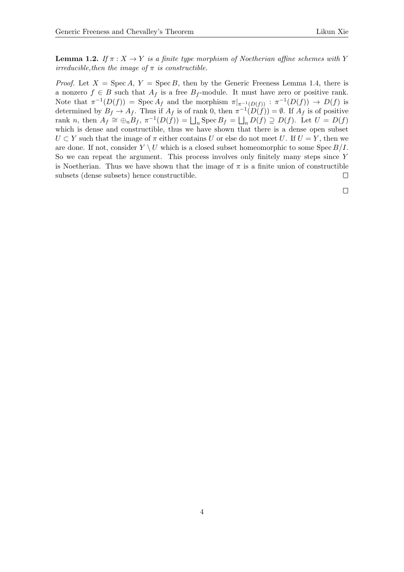**Lemma 1.2.** If  $\pi: X \to Y$  is a finite type morphism of Noetherian affine schemes with Y irreducible, then the image of  $\pi$  is constructible.

*Proof.* Let  $X = \text{Spec } A$ ,  $Y = \text{Spec } B$ , then by the Generic Freeness Lemma [1.4,](#page-1-0) there is a nonzero  $f \in B$  such that  $A_f$  is a free  $B_f$ -module. It must have zero or positive rank. Note that  $\pi^{-1}(D(f)) = \operatorname{Spec} A_f$  and the morphism  $\pi|_{\pi^{-1}(D(f))} : \pi^{-1}(D(f)) \to D(f)$  is determined by  $B_f \to A_f$ . Thus if  $A_f$  is of rank 0, then  $\pi^{-1}(D(f)) = \emptyset$ . If  $A_f$  is of positive rank n, then  $A_f \cong \bigoplus_n B_f$ ,  $\pi^{-1}(D(f)) = \bigsqcup_n \text{Spec } B_f = \bigsqcup_n D(f) \supseteq D(f)$ . Let  $U = D(f)$ which is dense and constructible, thus we have shown that there is a dense open subset  $U \subset Y$  such that the image of  $\pi$  either contains U or else do not meet U. If  $U = Y$ , then we are done. If not, consider  $Y \setminus U$  which is a closed subset homeomorphic to some Spec  $B/I$ . So we can repeat the argument. This process involves only finitely many steps since Y is Noetherian. Thus we have shown that the image of  $\pi$  is a finite union of constructible subsets (dense subsets) hence constructible.  $\Box$ 

 $\Box$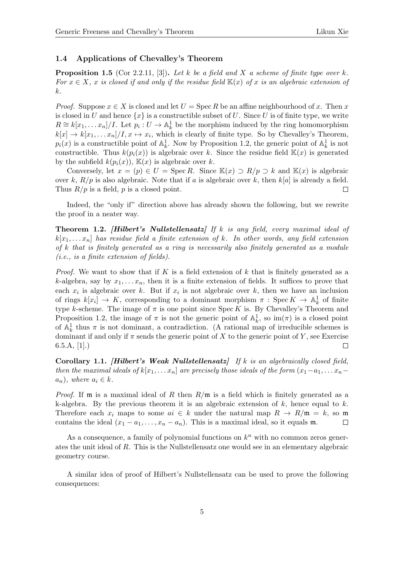#### 1.4 Applications of Chevalley's Theorem

**Proposition 1.5** (Cor 2.2.11, [\[3\]](#page-6-2)). Let k be a field and X a scheme of finite type over k. For  $x \in X$ , x is closed if and only if the residue field  $\mathbb{K}(x)$  of x is an algebraic extension of k.

*Proof.* Suppose  $x \in X$  is closed and let  $U = \text{Spec } R$  be an affine neighbourhood of x. Then x is closed in U and hence  $\{x\}$  is a constructible subset of U. Since U is of finite type, we write  $R \cong k[x_1, \ldots x_n]/I$ . Let  $p_i: U \to \mathbb{A}^1_k$  be the morphism induced by the ring homomorphism  $k[x] \to k[x_1, \ldots x_n]/I, x \mapsto x_i$ , which is clearly of finite type. So by Chevalley's Theorem,  $p_i(x)$  is a constructible point of  $\mathbb{A}^1_k$ . Now by Proposition [1.2,](#page-0-0) the generic point of  $\mathbb{A}^1_k$  is not constructible. Thus  $k(p_i(x))$  is algebraic over k. Since the residue field  $K(x)$  is generated by the subfield  $k(p_i(x))$ ,  $\mathbb{K}(x)$  is algebraic over k.

Conversely, let  $x = (p) \in U = \text{Spec } R$ . Since  $\mathbb{K}(x) \supset R/p \supset k$  and  $\mathbb{K}(x)$  is algebraic over k,  $R/p$  is also algebraic. Note that if a is algebraic over k, then  $k[a]$  is already a field. Thus  $R/p$  is a field, p is a closed point.  $\Box$ 

Indeed, the "only if" direction above has already shown the following, but we rewrite the proof in a neater way.

**Theorem 1.2.** *[Hilbert's Nullstellensatz]* If k is any field, every maximal ideal of  $k[x_1,...,x_n]$  has residue field a finite extension of k. In other words, any field extension of k that is finitely generated as a ring is necessarily also finitely generated as a module (i.e., is a finite extension of fields).

*Proof.* We want to show that if K is a field extension of k that is finitely generated as a k-algebra, say by  $x_1, \ldots, x_n$ , then it is a finite extension of fields. It suffices to prove that each  $x_i$  is algebraic over k. But if  $x_i$  is not algebraic over k, then we have an inclusion of rings  $k[x_i] \to K$ , corresponding to a dominant morphism  $\pi : \text{Spec } K \to \mathbb{A}^1_k$  of finite type k-scheme. The image of  $\pi$  is one point since Spec K is. By Chevalley's Theorem and Proposition [1.2,](#page-0-0) the image of  $\pi$  is not the generic point of  $\mathbb{A}^1_k$ , so  $\text{im}(\pi)$  is a closed point of  $\mathbb{A}^1_k$  thus  $\pi$  is not dominant, a contradiction. (A rational map of irreducible schemes is dominant if and only if  $\pi$  sends the generic point of X to the generic point of Y, see Exercise  $6.5.A, [1]$  $6.5.A, [1]$ .  $\Box$ 

Corollary 1.1. *[Hilbert's Weak Nullstellensatz]* If k is an algebraically closed field, then the maximal ideals of  $k[x_1, \ldots x_n]$  are precisely those ideals of the form  $(x_1-a_1, \ldots x_n-a_n)$  $a_n$ , where  $a_i \in k$ .

*Proof.* If **m** is a maximal ideal of R then  $R/\mathfrak{m}$  is a field which is finitely generated as a k-algebra. By the previous theorem it is an algebraic extension of  $k$ , hence equal to  $k$ . Therefore each  $x_i$  maps to some  $ai \in k$  under the natural map  $R \to R/\mathfrak{m} = k$ , so  $\mathfrak{m}$ contains the ideal  $(x_1 - a_1, \ldots, x_n - a_n)$ . This is a maximal ideal, so it equals m.  $\Box$ 

As a consequence, a family of polynomial functions on  $k<sup>n</sup>$  with no common zeros generates the unit ideal of R. This is the Nullstellensatz one would see in an elementary algebraic geometry course.

A similar idea of proof of Hilbert's Nullstellensatz can be used to prove the following consequences: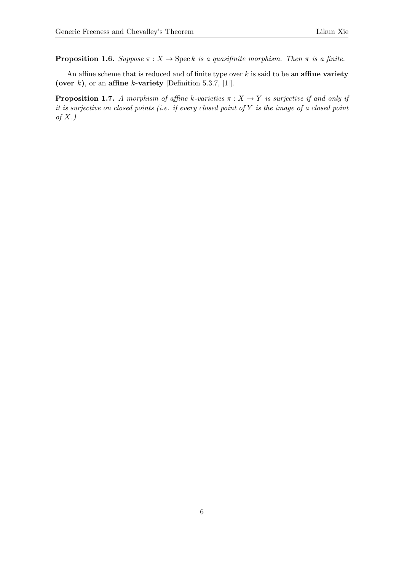**Proposition 1.6.** Suppose  $\pi$  :  $X \to \text{Spec } k$  is a quasifinite morphism. Then  $\pi$  is a finite.

An affine scheme that is reduced and of finite type over  $k$  is said to be an affine variety (over  $k$ ), or an affine  $k$ -variety [Definition 5.3.7, [\[1\]](#page-6-0)].

**Proposition 1.7.** A morphism of affine k-varieties  $\pi : X \to Y$  is surjective if and only if it is surjective on closed points (i.e. if every closed point of  $Y$  is the image of a closed point of  $X$ .)